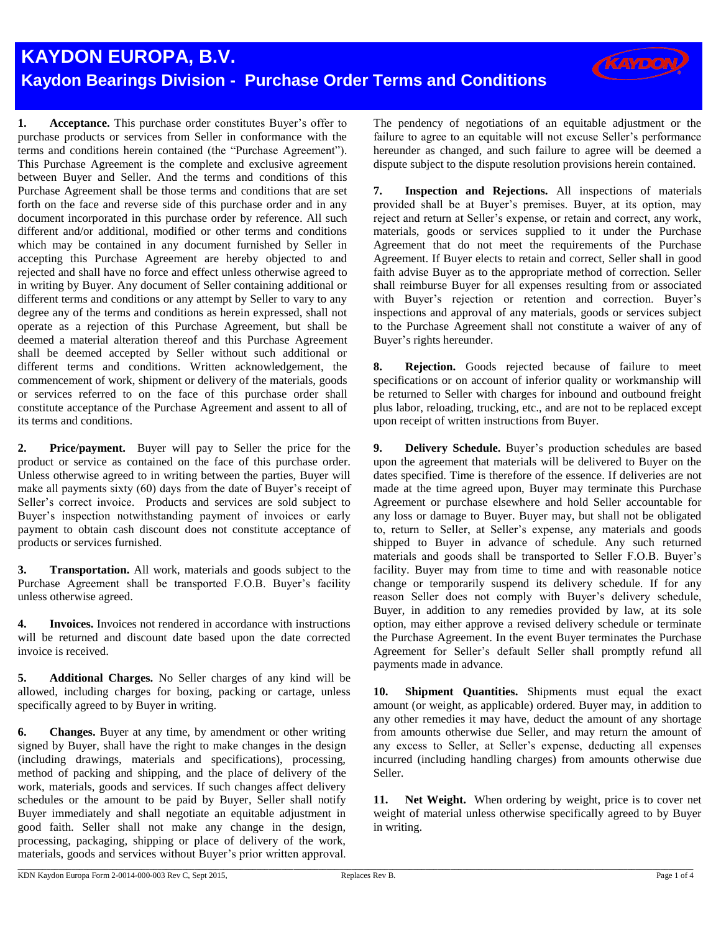## **KAYDON EUROPA, B.V. Kaydon Bearings Division - Purchase Order Terms and Conditions**

**1. Acceptance.** This purchase order constitutes Buyer's offer to purchase products or services from Seller in conformance with the terms and conditions herein contained (the "Purchase Agreement"). This Purchase Agreement is the complete and exclusive agreement between Buyer and Seller. And the terms and conditions of this Purchase Agreement shall be those terms and conditions that are set forth on the face and reverse side of this purchase order and in any document incorporated in this purchase order by reference. All such different and/or additional, modified or other terms and conditions which may be contained in any document furnished by Seller in accepting this Purchase Agreement are hereby objected to and rejected and shall have no force and effect unless otherwise agreed to in writing by Buyer. Any document of Seller containing additional or different terms and conditions or any attempt by Seller to vary to any degree any of the terms and conditions as herein expressed, shall not operate as a rejection of this Purchase Agreement, but shall be deemed a material alteration thereof and this Purchase Agreement shall be deemed accepted by Seller without such additional or different terms and conditions. Written acknowledgement, the commencement of work, shipment or delivery of the materials, goods or services referred to on the face of this purchase order shall constitute acceptance of the Purchase Agreement and assent to all of its terms and conditions.

**2. Price/payment.** Buyer will pay to Seller the price for the product or service as contained on the face of this purchase order. Unless otherwise agreed to in writing between the parties, Buyer will make all payments sixty (60) days from the date of Buyer's receipt of Seller's correct invoice. Products and services are sold subject to Buyer's inspection notwithstanding payment of invoices or early payment to obtain cash discount does not constitute acceptance of products or services furnished.

**3. Transportation.** All work, materials and goods subject to the Purchase Agreement shall be transported F.O.B. Buyer's facility unless otherwise agreed.

**4. Invoices.** Invoices not rendered in accordance with instructions will be returned and discount date based upon the date corrected invoice is received.

**5. Additional Charges.** No Seller charges of any kind will be allowed, including charges for boxing, packing or cartage, unless specifically agreed to by Buyer in writing.

**6. Changes.** Buyer at any time, by amendment or other writing signed by Buyer, shall have the right to make changes in the design (including drawings, materials and specifications), processing, method of packing and shipping, and the place of delivery of the work, materials, goods and services. If such changes affect delivery schedules or the amount to be paid by Buyer, Seller shall notify Buyer immediately and shall negotiate an equitable adjustment in good faith. Seller shall not make any change in the design, processing, packaging, shipping or place of delivery of the work, materials, goods and services without Buyer's prior written approval.

The pendency of negotiations of an equitable adjustment or the failure to agree to an equitable will not excuse Seller's performance hereunder as changed, and such failure to agree will be deemed a dispute subject to the dispute resolution provisions herein contained.

**KAYDON** 

**7. Inspection and Rejections.** All inspections of materials provided shall be at Buyer's premises. Buyer, at its option, may reject and return at Seller's expense, or retain and correct, any work, materials, goods or services supplied to it under the Purchase Agreement that do not meet the requirements of the Purchase Agreement. If Buyer elects to retain and correct, Seller shall in good faith advise Buyer as to the appropriate method of correction. Seller shall reimburse Buyer for all expenses resulting from or associated with Buyer's rejection or retention and correction. Buyer's inspections and approval of any materials, goods or services subject to the Purchase Agreement shall not constitute a waiver of any of Buyer's rights hereunder.

**8. Rejection.** Goods rejected because of failure to meet specifications or on account of inferior quality or workmanship will be returned to Seller with charges for inbound and outbound freight plus labor, reloading, trucking, etc., and are not to be replaced except upon receipt of written instructions from Buyer.

**9. Delivery Schedule.** Buyer's production schedules are based upon the agreement that materials will be delivered to Buyer on the dates specified. Time is therefore of the essence. If deliveries are not made at the time agreed upon, Buyer may terminate this Purchase Agreement or purchase elsewhere and hold Seller accountable for any loss or damage to Buyer. Buyer may, but shall not be obligated to, return to Seller, at Seller's expense, any materials and goods shipped to Buyer in advance of schedule. Any such returned materials and goods shall be transported to Seller F.O.B. Buyer's facility. Buyer may from time to time and with reasonable notice change or temporarily suspend its delivery schedule. If for any reason Seller does not comply with Buyer's delivery schedule, Buyer, in addition to any remedies provided by law, at its sole option, may either approve a revised delivery schedule or terminate the Purchase Agreement. In the event Buyer terminates the Purchase Agreement for Seller's default Seller shall promptly refund all payments made in advance.

**10. Shipment Quantities.** Shipments must equal the exact amount (or weight, as applicable) ordered. Buyer may, in addition to any other remedies it may have, deduct the amount of any shortage from amounts otherwise due Seller, and may return the amount of any excess to Seller, at Seller's expense, deducting all expenses incurred (including handling charges) from amounts otherwise due Seller.

**11. Net Weight.** When ordering by weight, price is to cover net weight of material unless otherwise specifically agreed to by Buyer in writing.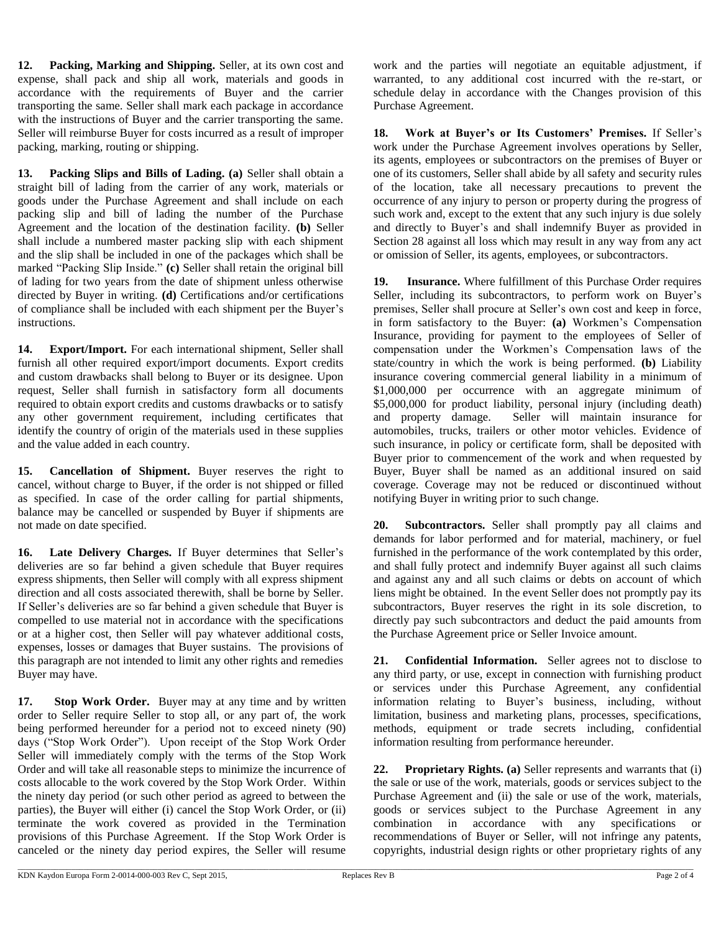**12. Packing, Marking and Shipping.** Seller, at its own cost and expense, shall pack and ship all work, materials and goods in accordance with the requirements of Buyer and the carrier transporting the same. Seller shall mark each package in accordance with the instructions of Buyer and the carrier transporting the same. Seller will reimburse Buyer for costs incurred as a result of improper packing, marking, routing or shipping.

**13. Packing Slips and Bills of Lading. (a)** Seller shall obtain a straight bill of lading from the carrier of any work, materials or goods under the Purchase Agreement and shall include on each packing slip and bill of lading the number of the Purchase Agreement and the location of the destination facility. **(b)** Seller shall include a numbered master packing slip with each shipment and the slip shall be included in one of the packages which shall be marked "Packing Slip Inside." **(c)** Seller shall retain the original bill of lading for two years from the date of shipment unless otherwise directed by Buyer in writing. **(d)** Certifications and/or certifications of compliance shall be included with each shipment per the Buyer's instructions.

**14. Export/Import.** For each international shipment, Seller shall furnish all other required export/import documents. Export credits and custom drawbacks shall belong to Buyer or its designee. Upon request, Seller shall furnish in satisfactory form all documents required to obtain export credits and customs drawbacks or to satisfy any other government requirement, including certificates that identify the country of origin of the materials used in these supplies and the value added in each country.

**15. Cancellation of Shipment.** Buyer reserves the right to cancel, without charge to Buyer, if the order is not shipped or filled as specified. In case of the order calling for partial shipments, balance may be cancelled or suspended by Buyer if shipments are not made on date specified.

**16. Late Delivery Charges.** If Buyer determines that Seller's deliveries are so far behind a given schedule that Buyer requires express shipments, then Seller will comply with all express shipment direction and all costs associated therewith, shall be borne by Seller. If Seller's deliveries are so far behind a given schedule that Buyer is compelled to use material not in accordance with the specifications or at a higher cost, then Seller will pay whatever additional costs, expenses, losses or damages that Buyer sustains. The provisions of this paragraph are not intended to limit any other rights and remedies Buyer may have.

**17. Stop Work Order.** Buyer may at any time and by written order to Seller require Seller to stop all, or any part of, the work being performed hereunder for a period not to exceed ninety (90) days ("Stop Work Order"). Upon receipt of the Stop Work Order Seller will immediately comply with the terms of the Stop Work Order and will take all reasonable steps to minimize the incurrence of costs allocable to the work covered by the Stop Work Order. Within the ninety day period (or such other period as agreed to between the parties), the Buyer will either (i) cancel the Stop Work Order, or (ii) terminate the work covered as provided in the Termination provisions of this Purchase Agreement. If the Stop Work Order is canceled or the ninety day period expires, the Seller will resume

work and the parties will negotiate an equitable adjustment, if warranted, to any additional cost incurred with the re-start, or schedule delay in accordance with the Changes provision of this Purchase Agreement.

**18. Work at Buyer's or Its Customers' Premises.** If Seller's work under the Purchase Agreement involves operations by Seller, its agents, employees or subcontractors on the premises of Buyer or one of its customers, Seller shall abide by all safety and security rules of the location, take all necessary precautions to prevent the occurrence of any injury to person or property during the progress of such work and, except to the extent that any such injury is due solely and directly to Buyer's and shall indemnify Buyer as provided in Section 28 against all loss which may result in any way from any act or omission of Seller, its agents, employees, or subcontractors.

**19. Insurance.** Where fulfillment of this Purchase Order requires Seller, including its subcontractors, to perform work on Buyer's premises, Seller shall procure at Seller's own cost and keep in force, in form satisfactory to the Buyer: **(a)** Workmen's Compensation Insurance, providing for payment to the employees of Seller of compensation under the Workmen's Compensation laws of the state/country in which the work is being performed. **(b)** Liability insurance covering commercial general liability in a minimum of \$1,000,000 per occurrence with an aggregate minimum of \$5,000,000 for product liability, personal injury (including death) and property damage. Seller will maintain insurance for automobiles, trucks, trailers or other motor vehicles. Evidence of such insurance, in policy or certificate form, shall be deposited with Buyer prior to commencement of the work and when requested by Buyer, Buyer shall be named as an additional insured on said coverage. Coverage may not be reduced or discontinued without notifying Buyer in writing prior to such change.

**20. Subcontractors.** Seller shall promptly pay all claims and demands for labor performed and for material, machinery, or fuel furnished in the performance of the work contemplated by this order, and shall fully protect and indemnify Buyer against all such claims and against any and all such claims or debts on account of which liens might be obtained. In the event Seller does not promptly pay its subcontractors, Buyer reserves the right in its sole discretion, to directly pay such subcontractors and deduct the paid amounts from the Purchase Agreement price or Seller Invoice amount.

**21. Confidential Information.** Seller agrees not to disclose to any third party, or use, except in connection with furnishing product or services under this Purchase Agreement, any confidential information relating to Buyer's business, including, without limitation, business and marketing plans, processes, specifications, methods, equipment or trade secrets including, confidential information resulting from performance hereunder.

**22. Proprietary Rights. (a)** Seller represents and warrants that (i) the sale or use of the work, materials, goods or services subject to the Purchase Agreement and (ii) the sale or use of the work, materials, goods or services subject to the Purchase Agreement in any combination in accordance with any specifications or recommendations of Buyer or Seller, will not infringe any patents, copyrights, industrial design rights or other proprietary rights of any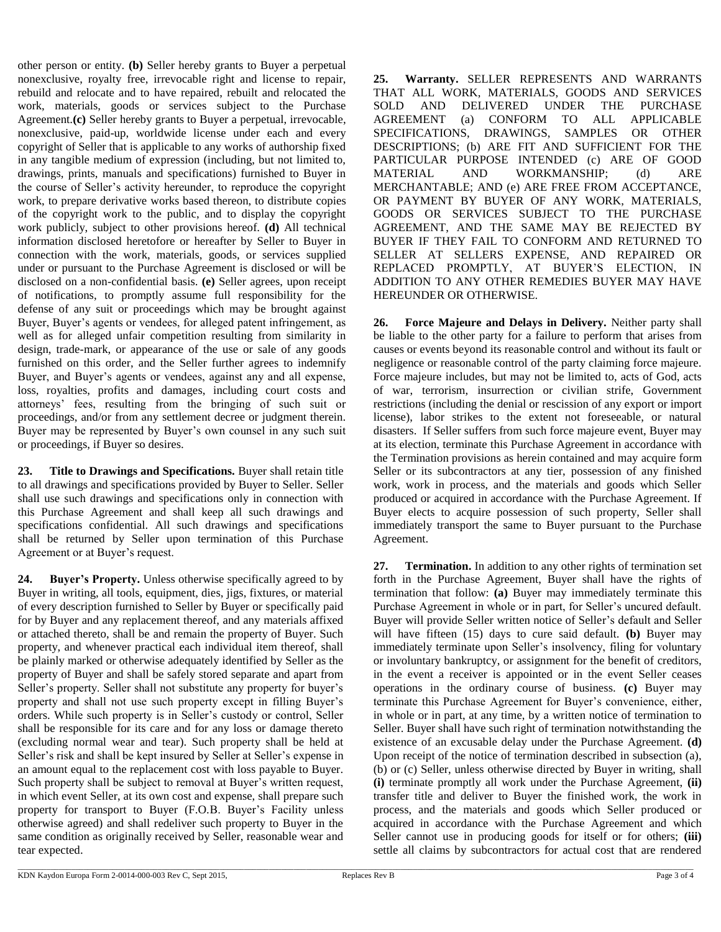other person or entity. **(b)** Seller hereby grants to Buyer a perpetual nonexclusive, royalty free, irrevocable right and license to repair, rebuild and relocate and to have repaired, rebuilt and relocated the work, materials, goods or services subject to the Purchase Agreement.**(c)** Seller hereby grants to Buyer a perpetual, irrevocable, nonexclusive, paid-up, worldwide license under each and every copyright of Seller that is applicable to any works of authorship fixed in any tangible medium of expression (including, but not limited to, drawings, prints, manuals and specifications) furnished to Buyer in the course of Seller's activity hereunder, to reproduce the copyright work, to prepare derivative works based thereon, to distribute copies of the copyright work to the public, and to display the copyright work publicly, subject to other provisions hereof. **(d)** All technical information disclosed heretofore or hereafter by Seller to Buyer in connection with the work, materials, goods, or services supplied under or pursuant to the Purchase Agreement is disclosed or will be disclosed on a non-confidential basis. **(e)** Seller agrees, upon receipt of notifications, to promptly assume full responsibility for the defense of any suit or proceedings which may be brought against Buyer, Buyer's agents or vendees, for alleged patent infringement, as well as for alleged unfair competition resulting from similarity in design, trade-mark, or appearance of the use or sale of any goods furnished on this order, and the Seller further agrees to indemnify Buyer, and Buyer's agents or vendees, against any and all expense, loss, royalties, profits and damages, including court costs and attorneys' fees, resulting from the bringing of such suit or proceedings, and/or from any settlement decree or judgment therein. Buyer may be represented by Buyer's own counsel in any such suit or proceedings, if Buyer so desires.

**23. Title to Drawings and Specifications.** Buyer shall retain title to all drawings and specifications provided by Buyer to Seller. Seller shall use such drawings and specifications only in connection with this Purchase Agreement and shall keep all such drawings and specifications confidential. All such drawings and specifications shall be returned by Seller upon termination of this Purchase Agreement or at Buyer's request.

**24. Buyer's Property.** Unless otherwise specifically agreed to by Buyer in writing, all tools, equipment, dies, jigs, fixtures, or material of every description furnished to Seller by Buyer or specifically paid for by Buyer and any replacement thereof, and any materials affixed or attached thereto, shall be and remain the property of Buyer. Such property, and whenever practical each individual item thereof, shall be plainly marked or otherwise adequately identified by Seller as the property of Buyer and shall be safely stored separate and apart from Seller's property. Seller shall not substitute any property for buyer's property and shall not use such property except in filling Buyer's orders. While such property is in Seller's custody or control, Seller shall be responsible for its care and for any loss or damage thereto (excluding normal wear and tear). Such property shall be held at Seller's risk and shall be kept insured by Seller at Seller's expense in an amount equal to the replacement cost with loss payable to Buyer. Such property shall be subject to removal at Buyer's written request, in which event Seller, at its own cost and expense, shall prepare such property for transport to Buyer (F.O.B. Buyer's Facility unless otherwise agreed) and shall redeliver such property to Buyer in the same condition as originally received by Seller, reasonable wear and tear expected.

**25. Warranty.** SELLER REPRESENTS AND WARRANTS THAT ALL WORK, MATERIALS, GOODS AND SERVICES SOLD AND DELIVERED UNDER THE PURCHASE AGREEMENT (a) CONFORM TO ALL APPLICABLE SPECIFICATIONS, DRAWINGS, SAMPLES OR OTHER DESCRIPTIONS; (b) ARE FIT AND SUFFICIENT FOR THE PARTICULAR PURPOSE INTENDED (c) ARE OF GOOD MATERIAL AND WORKMANSHIP; (d) ARE MERCHANTABLE; AND (e) ARE FREE FROM ACCEPTANCE, OR PAYMENT BY BUYER OF ANY WORK, MATERIALS, GOODS OR SERVICES SUBJECT TO THE PURCHASE AGREEMENT, AND THE SAME MAY BE REJECTED BY BUYER IF THEY FAIL TO CONFORM AND RETURNED TO SELLER AT SELLERS EXPENSE, AND REPAIRED OR REPLACED PROMPTLY, AT BUYER'S ELECTION, IN ADDITION TO ANY OTHER REMEDIES BUYER MAY HAVE HEREUNDER OR OTHERWISE.

**26. Force Majeure and Delays in Delivery.** Neither party shall be liable to the other party for a failure to perform that arises from causes or events beyond its reasonable control and without its fault or negligence or reasonable control of the party claiming force majeure. Force majeure includes, but may not be limited to, acts of God, acts of war, terrorism, insurrection or civilian strife, Government restrictions (including the denial or rescission of any export or import license), labor strikes to the extent not foreseeable, or natural disasters. If Seller suffers from such force majeure event, Buyer may at its election, terminate this Purchase Agreement in accordance with the Termination provisions as herein contained and may acquire form Seller or its subcontractors at any tier, possession of any finished work, work in process, and the materials and goods which Seller produced or acquired in accordance with the Purchase Agreement. If Buyer elects to acquire possession of such property, Seller shall immediately transport the same to Buyer pursuant to the Purchase Agreement.

**27. Termination.** In addition to any other rights of termination set forth in the Purchase Agreement, Buyer shall have the rights of termination that follow: **(a)** Buyer may immediately terminate this Purchase Agreement in whole or in part, for Seller's uncured default. Buyer will provide Seller written notice of Seller's default and Seller will have fifteen (15) days to cure said default. **(b)** Buyer may immediately terminate upon Seller's insolvency, filing for voluntary or involuntary bankruptcy, or assignment for the benefit of creditors, in the event a receiver is appointed or in the event Seller ceases operations in the ordinary course of business. **(c)** Buyer may terminate this Purchase Agreement for Buyer's convenience, either, in whole or in part, at any time, by a written notice of termination to Seller. Buyer shall have such right of termination notwithstanding the existence of an excusable delay under the Purchase Agreement. **(d)** Upon receipt of the notice of termination described in subsection (a), (b) or (c) Seller, unless otherwise directed by Buyer in writing, shall **(i)** terminate promptly all work under the Purchase Agreement, **(ii)**  transfer title and deliver to Buyer the finished work, the work in process, and the materials and goods which Seller produced or acquired in accordance with the Purchase Agreement and which Seller cannot use in producing goods for itself or for others; **(iii)** settle all claims by subcontractors for actual cost that are rendered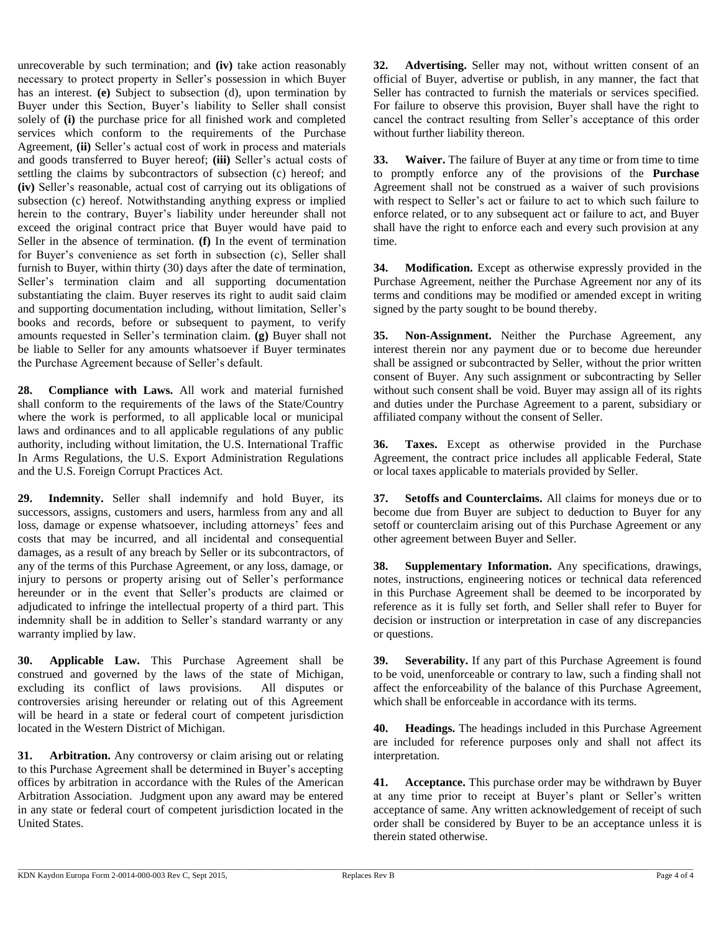unrecoverable by such termination; and **(iv)** take action reasonably necessary to protect property in Seller's possession in which Buyer has an interest. **(e)** Subject to subsection (d), upon termination by Buyer under this Section, Buyer's liability to Seller shall consist solely of **(i)** the purchase price for all finished work and completed services which conform to the requirements of the Purchase Agreement, **(ii)** Seller's actual cost of work in process and materials and goods transferred to Buyer hereof; **(iii)** Seller's actual costs of settling the claims by subcontractors of subsection (c) hereof; and **(iv)** Seller's reasonable, actual cost of carrying out its obligations of subsection (c) hereof. Notwithstanding anything express or implied herein to the contrary, Buyer's liability under hereunder shall not exceed the original contract price that Buyer would have paid to Seller in the absence of termination. **(f)** In the event of termination for Buyer's convenience as set forth in subsection (c), Seller shall furnish to Buyer, within thirty (30) days after the date of termination, Seller's termination claim and all supporting documentation substantiating the claim. Buyer reserves its right to audit said claim and supporting documentation including, without limitation, Seller's books and records, before or subsequent to payment, to verify amounts requested in Seller's termination claim. **(g)** Buyer shall not be liable to Seller for any amounts whatsoever if Buyer terminates the Purchase Agreement because of Seller's default.

**28. Compliance with Laws.** All work and material furnished shall conform to the requirements of the laws of the State/Country where the work is performed, to all applicable local or municipal laws and ordinances and to all applicable regulations of any public authority, including without limitation, the U.S. International Traffic In Arms Regulations, the U.S. Export Administration Regulations and the U.S. Foreign Corrupt Practices Act.

**29. Indemnity.** Seller shall indemnify and hold Buyer, its successors, assigns, customers and users, harmless from any and all loss, damage or expense whatsoever, including attorneys' fees and costs that may be incurred, and all incidental and consequential damages, as a result of any breach by Seller or its subcontractors, of any of the terms of this Purchase Agreement, or any loss, damage, or injury to persons or property arising out of Seller's performance hereunder or in the event that Seller's products are claimed or adjudicated to infringe the intellectual property of a third part. This indemnity shall be in addition to Seller's standard warranty or any warranty implied by law.

**30. Applicable Law.** This Purchase Agreement shall be construed and governed by the laws of the state of Michigan, excluding its conflict of laws provisions. All disputes or controversies arising hereunder or relating out of this Agreement will be heard in a state or federal court of competent jurisdiction located in the Western District of Michigan.

**31. Arbitration.** Any controversy or claim arising out or relating to this Purchase Agreement shall be determined in Buyer's accepting offices by arbitration in accordance with the Rules of the American Arbitration Association. Judgment upon any award may be entered in any state or federal court of competent jurisdiction located in the United States.

**32. Advertising.** Seller may not, without written consent of an official of Buyer, advertise or publish, in any manner, the fact that Seller has contracted to furnish the materials or services specified. For failure to observe this provision, Buyer shall have the right to cancel the contract resulting from Seller's acceptance of this order without further liability thereon.

**33. Waiver.** The failure of Buyer at any time or from time to time to promptly enforce any of the provisions of the **Purchase** Agreement shall not be construed as a waiver of such provisions with respect to Seller's act or failure to act to which such failure to enforce related, or to any subsequent act or failure to act, and Buyer shall have the right to enforce each and every such provision at any time.

**34. Modification.** Except as otherwise expressly provided in the Purchase Agreement, neither the Purchase Agreement nor any of its terms and conditions may be modified or amended except in writing signed by the party sought to be bound thereby.

**35. Non-Assignment.** Neither the Purchase Agreement, any interest therein nor any payment due or to become due hereunder shall be assigned or subcontracted by Seller, without the prior written consent of Buyer. Any such assignment or subcontracting by Seller without such consent shall be void. Buyer may assign all of its rights and duties under the Purchase Agreement to a parent, subsidiary or affiliated company without the consent of Seller.

**36. Taxes.** Except as otherwise provided in the Purchase Agreement, the contract price includes all applicable Federal, State or local taxes applicable to materials provided by Seller.

**37. Setoffs and Counterclaims.** All claims for moneys due or to become due from Buyer are subject to deduction to Buyer for any setoff or counterclaim arising out of this Purchase Agreement or any other agreement between Buyer and Seller.

**38. Supplementary Information.** Any specifications, drawings, notes, instructions, engineering notices or technical data referenced in this Purchase Agreement shall be deemed to be incorporated by reference as it is fully set forth, and Seller shall refer to Buyer for decision or instruction or interpretation in case of any discrepancies or questions.

**39. Severability.** If any part of this Purchase Agreement is found to be void, unenforceable or contrary to law, such a finding shall not affect the enforceability of the balance of this Purchase Agreement, which shall be enforceable in accordance with its terms.

**40. Headings.** The headings included in this Purchase Agreement are included for reference purposes only and shall not affect its interpretation.

**41. Acceptance.** This purchase order may be withdrawn by Buyer at any time prior to receipt at Buyer's plant or Seller's written acceptance of same. Any written acknowledgement of receipt of such order shall be considered by Buyer to be an acceptance unless it is therein stated otherwise.